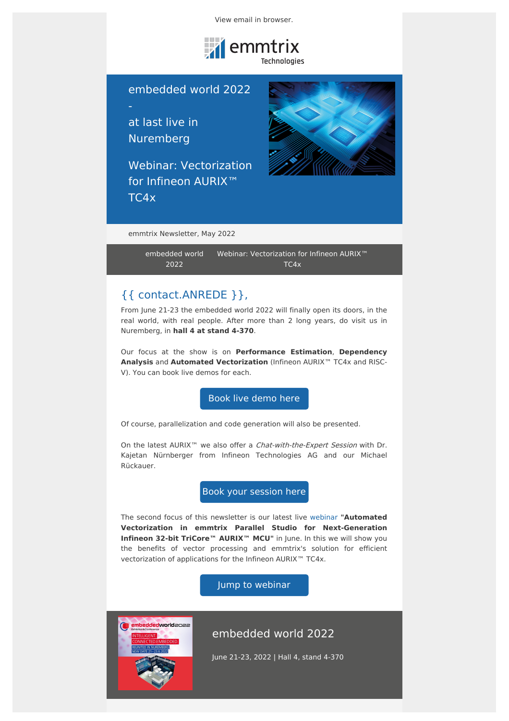View email in [browser.](file:///var/www/html/public/%7B%7B%20mirror%20%7D%7D)



embedded world 2022

at last live in Nuremberg

Webinar: Vectorization for Infineon AURIX<sup>™</sup> TC4x



emmtrix Newsletter, May 2022

[embedded](file:///var/www/html/public/CAMPAIGN_12.html#embedded%20world%202022) world 2022 Webinar: [Vectorization](file:///var/www/html/public/CAMPAIGN_12.html#Webinar:%20Vectorization%20for%20Infineon%20AURIX%E2%84%A2%20TC4x) for Infineon AURIX™ TC4x

# {{ contact.ANREDE }},

From June 21-23 the embedded world 2022 will finally open its doors, in the real world, with real people. After more than 2 long years, do visit us in Nuremberg, in **hall 4 at stand 4-370**.

Our focus at the show is on **Performance Estimation**, **Dependency Analysis** and **Automated Vectorization** (Infineon AURIX™ TC4x and RISC-V). You can book live demos for each.

Book live [demo](https://calendly.com/emmtrix-rainer_heim) here

Of course, parallelization and code generation will also be presented.

On the latest AURIX<sup>™</sup> we also offer a *Chat-with-the-Expert Session* with Dr. Kajetan Nürnberger from Infineon Technologies AG and our Michael Rückauer.

Book your [session](https://calendly.com/emmtrix-rainer_heim/your-expert-session-on-infineon-aurix-tc4x-ew22) here

The second focus of this newsletter is our latest live [webinar](https://www.emmtrix.com/webinars-aurix-tc4x) **"Automated Vectorization in emmtrix Parallel Studio for Next-Generation Infineon 32-bit TriCore™ AURIX™ MCU"** in June. In this we will show you the benefits of vector processing and emmtrix's solution for efficient vectorization of applications for the Infineon AURIX™ TC4x.

Jump to [webinar](https://www.emmtrix.com/webinars-aurix-tc4x)



## embedded world 2022

June 21-23, 2022 | Hall 4, stand 4-370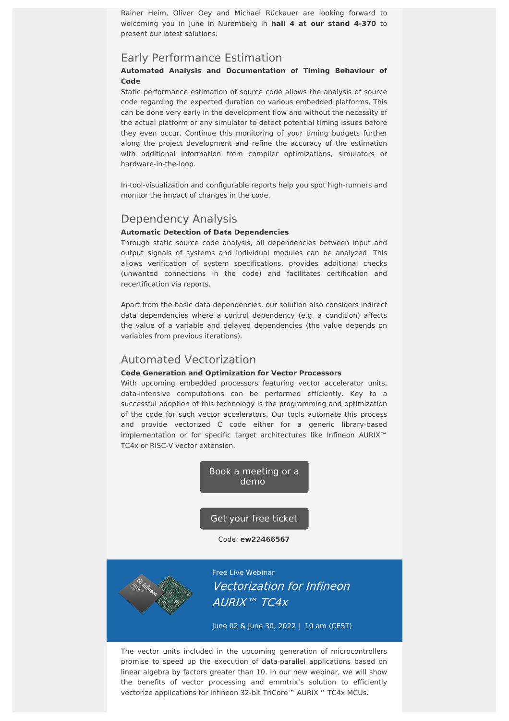Rainer Heim, Oliver Oey and Michael Rückauer are looking forward to welcoming you in June in Nuremberg in **hall 4 at our stand 4-370** to present our latest solutions:

## Early Performance Estimation

### **Automated Analysis and Documentation of Timing Behaviour of Code**

Static performance estimation of source code allows the analysis of source code regarding the expected duration on various embedded platforms. This can be done very early in the development flow and without the necessity of the actual platform or any simulator to detect potential timing issues before they even occur. Continue this monitoring of your timing budgets further along the project development and refine the accuracy of the estimation with additional information from compiler optimizations, simulators or hardware-in-the-loop.

In-tool-visualization and configurable reports help you spot high-runners and monitor the impact of changes in the code.

## Dependency Analysis

#### **Automatic Detection of Data Dependencies**

Through static source code analysis, all dependencies between input and output signals of systems and individual modules can be analyzed. This allows verification of system specifications, provides additional checks (unwanted connections in the code) and facilitates certification and recertification via reports.

Apart from the basic data dependencies, our solution also considers indirect data dependencies where a control dependency (e.g. a condition) affects the value of a variable and delayed dependencies (the value depends on variables from previous iterations).

## Automated Vectorization

#### **Code Generation and Optimization for Vector Processors**

With upcoming embedded processors featuring vector accelerator units, data-intensive computations can be performed efficiently. Key to a successful adoption of this technology is the programming and optimization of the code for such vector accelerators. Our tools automate this process and provide vectorized C code either for a generic library-based implementation or for specific target architectures like Infineon AURIX™ TC4x or RISC-V vector extension.

> Book a [meeting](https://calendly.com/emmtrix-rainer_heim) or a demo

Get your free [ticket](https://www.embedded-world.de/en/participants/tickets)

Code: **ew22466567**



Free Live Webinar Vectorization for Infineon AURIX™ TC4x

June 02 & June 30, 2022 | 10 am (CEST)

The vector units included in the upcoming generation of microcontrollers promise to speed up the execution of data-parallel applications based on linear algebra by factors greater than 10. In our new webinar, we will show the benefits of vector processing and emmtrix's solution to efficiently vectorize applications for Infineon 32-bit TriCore™ AURIX™ TC4x MCUs.